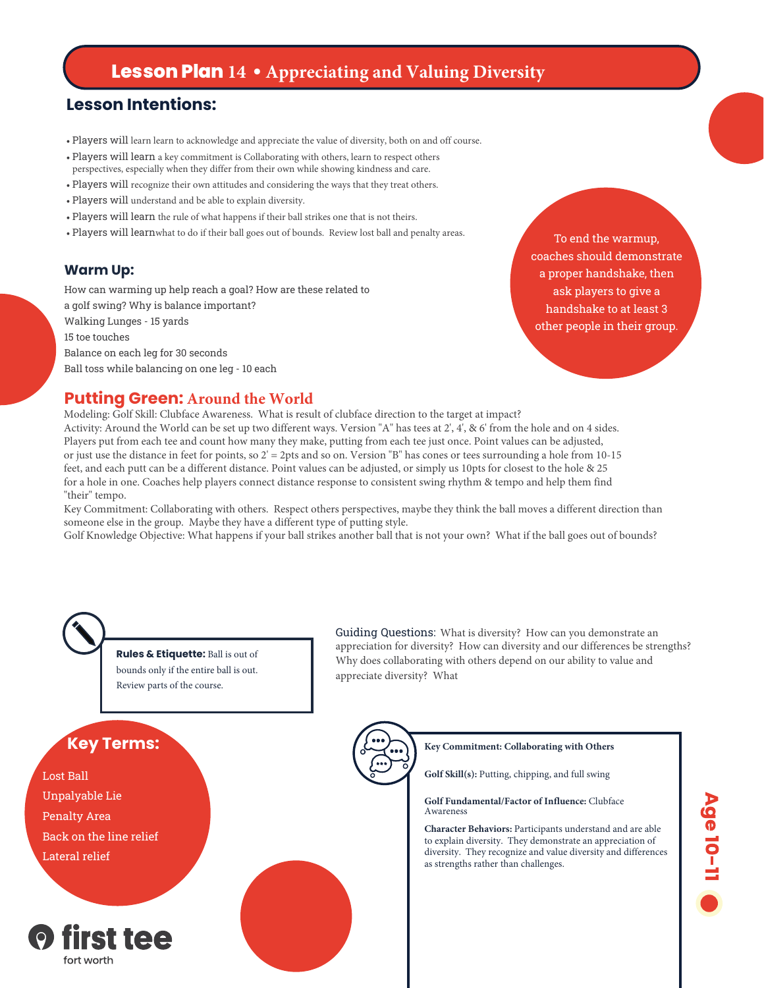# **Lesson Plan 14 • Appreciating and Valuing Diversity**

# **Lesson Intentions:**

- Players will learn learn to acknowledge and appreciate the value of diversity, both on and off course.
- Players will learn a key commitment is Collaborating with others, learn to respect others perspectives, especially when they differ from their own while showing kindness and care.
- Players will recognize their own attitudes and considering the ways that they treat others.
- Players will understand and be able to explain diversity.
- Players will learn the rule of what happens if their ball strikes one that is not theirs.
- Players will learnwhat to do if their ball goes out of bounds. Review lost ball and penalty areas.

### **Warm Up:**

How can warming up help reach a goal? How are these related to a golf swing? Why is balance important? Walking Lunges - 15 yards 15 toe touches Balance on each leg for 30 seconds Ball toss while balancing on one leg - 10 each

To end the warmup, coaches should demonstrate a proper handshake, then ask players to give a handshake to at least 3 other people in their group.

## **Putting Green: Around the World**

Modeling: Golf Skill: Clubface Awareness. What is result of clubface direction to the target at impact? Activity: Around the World can be set up two different ways. Version "A" has tees at 2', 4', & 6' from the hole and on 4 sides. Players put from each tee and count how many they make, putting from each tee just once. Point values can be adjusted, or just use the distance in feet for points, so  $2' = 2$ pts and so on. Version "B" has cones or tees surrounding a hole from 10-15 feet, and each putt can be a different distance. Point values can be adjusted, or simply us 10pts for closest to the hole & 25 for a hole in one. Coaches help players connect distance response to consistent swing rhythm & tempo and help them find "their" tempo.

Key Commitment: Collaborating with others. Respect others perspectives, maybe they think the ball moves a different direction than someone else in the group. Maybe they have a different type of putting style.

Golf Knowledge Objective: What happens if your ball strikes another ball that is not your own? What if the ball goes out of bounds?



**Rules & Etiquette:** Ball is out of bounds only if the entire ball is out. Review parts of the course.

Guiding Questions: What is diversity? How can you demonstrate an appreciation for diversity? How can diversity and our differences be strengths? Why does collaborating with others depend on our ability to value and appreciate diversity? What

# **Key Terms:**

Lost Ball Unpalyable Lie Penalty Area Back on the line relief Lateral relief



#### **Key Commitment: Collaborating with Others**

**Golf Skill(s):** Putting, chipping, and full swing

#### **Golf Fundamental/Factor of Influence:** Clubface Awareness

**Character Behaviors:** Participants understand and are able to explain diversity. They demonstrate an appreciation of diversity. They recognize and value diversity and differences as strengths rather than challenges.

# Age 10-11